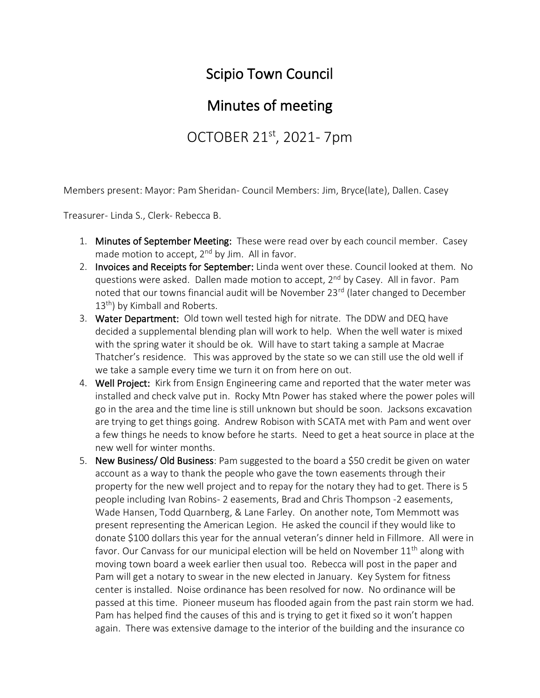## Scipio Town Council

## Minutes of meeting

OCTOBER 21<sup>st</sup>, 2021- 7pm

Members present: Mayor: Pam Sheridan- Council Members: Jim, Bryce(late), Dallen. Casey

Treasurer- Linda S., Clerk- Rebecca B.

- 1. Minutes of September Meeting: These were read over by each council member. Casey made motion to accept,  $2^{nd}$  by Jim. All in favor.
- 2. Invoices and Receipts for September: Linda went over these. Council looked at them. No questions were asked. Dallen made motion to accept, 2<sup>nd</sup> by Casey. All in favor. Pam noted that our towns financial audit will be November 23<sup>rd</sup> (later changed to December 13<sup>th</sup>) by Kimball and Roberts.
- 3. Water Department: Old town well tested high for nitrate. The DDW and DEQ have decided a supplemental blending plan will work to help. When the well water is mixed with the spring water it should be ok. Will have to start taking a sample at Macrae Thatcher's residence. This was approved by the state so we can still use the old well if we take a sample every time we turn it on from here on out.
- 4. Well Project: Kirk from Ensign Engineering came and reported that the water meter was installed and check valve put in. Rocky Mtn Power has staked where the power poles will go in the area and the time line is still unknown but should be soon. Jacksons excavation are trying to get things going. Andrew Robison with SCATA met with Pam and went over a few things he needs to know before he starts. Need to get a heat source in place at the new well for winter months.
- 5. New Business/ Old Business: Pam suggested to the board a \$50 credit be given on water account as a way to thank the people who gave the town easements through their property for the new well project and to repay for the notary they had to get. There is 5 people including Ivan Robins- 2 easements, Brad and Chris Thompson -2 easements, Wade Hansen, Todd Quarnberg, & Lane Farley. On another note, Tom Memmott was present representing the American Legion. He asked the council if they would like to donate \$100 dollars this year for the annual veteran's dinner held in Fillmore. All were in favor. Our Canvass for our municipal election will be held on November 11<sup>th</sup> along with moving town board a week earlier then usual too. Rebecca will post in the paper and Pam will get a notary to swear in the new elected in January. Key System for fitness center is installed. Noise ordinance has been resolved for now. No ordinance will be passed at this time. Pioneer museum has flooded again from the past rain storm we had. Pam has helped find the causes of this and is trying to get it fixed so it won't happen again. There was extensive damage to the interior of the building and the insurance co